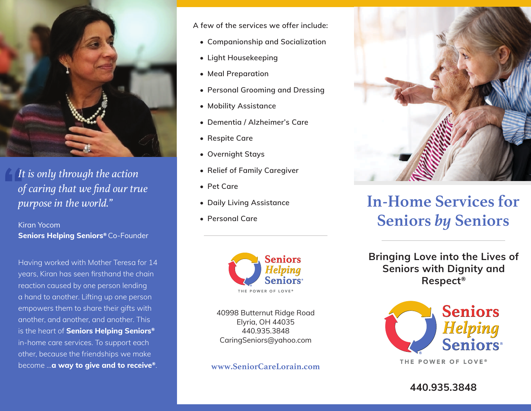

It is only through the action of caring that we find our true purpose in the world."

**Kirgn Yocom** Seniors Helping Seniors® Co-Founder

Having worked with Mother Teresa for 14 years, Kiran has seen firsthand the chain reaction caused by one person lending a hand to another. Lifting up one person empowers them to share their gifts with another, and another, and another. This is the heart of Seniors Helping Seniors® in-home care services. To support each other, because the friendships we make become ... a way to give and to receive®. A few of the services we offer include:

- Companionship and Socialization
- Light Housekeeping
- Meal Preparation
- Personal Grooming and Dressing
- Mobility Assistance
- Dementia / Alzheimer's Care
- Respite Care
- Overnight Stays
- Relief of Family Caregiver
- Pet Care
- Daily Living Assistance
- Personal Care



40998 Butternut Ridge Road Elyria, OH 44035 440.935.3848 CaringSeniors@yahoo.com

www.SeniorCareLorain.com



# **In-Home Services for Seniors by Seniors**

**Bringing Love into the Lives of Seniors with Dignity and** Respect<sup>®</sup>



THE POWER OF LOVE®

440.935.3848